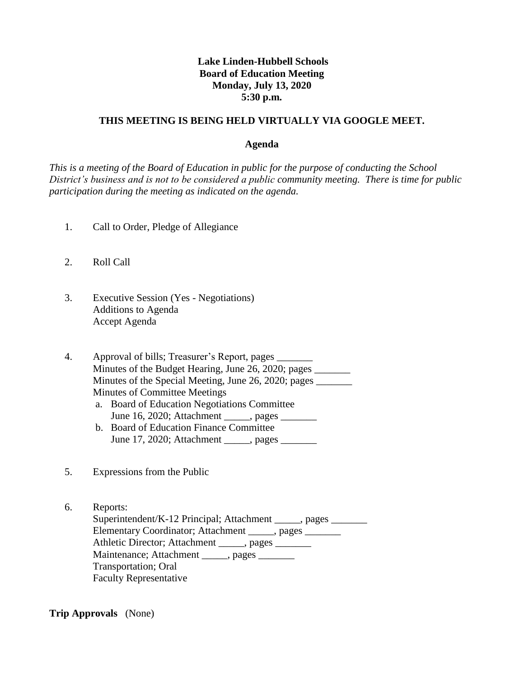# **Lake Linden-Hubbell Schools Board of Education Meeting Monday, July 13, 2020 5:30 p.m.**

#### **THIS MEETING IS BEING HELD VIRTUALLY VIA GOOGLE MEET.**

#### **Agenda**

*This is a meeting of the Board of Education in public for the purpose of conducting the School District's business and is not to be considered a public community meeting. There is time for public participation during the meeting as indicated on the agenda.*

- 1. Call to Order, Pledge of Allegiance
- 2. Roll Call
- 3. Executive Session (Yes Negotiations) Additions to Agenda Accept Agenda

4. Approval of bills; Treasurer's Report, pages \_\_\_\_\_\_\_ Minutes of the Budget Hearing, June 26, 2020; pages Minutes of the Special Meeting, June 26, 2020; pages \_\_\_\_\_\_\_ Minutes of Committee Meetings

- a. Board of Education Negotiations Committee June 16, 2020; Attachment \_\_\_\_\_, pages \_\_\_\_\_\_\_
- b. Board of Education Finance Committee June 17, 2020; Attachment , pages
- 5. Expressions from the Public
- 6. Reports: Superintendent/K-12 Principal; Attachment \_\_\_\_\_, pages \_\_\_\_\_\_\_ Elementary Coordinator; Attachment \_\_\_\_\_, pages \_\_\_\_\_\_\_ Athletic Director; Attachment \_\_\_\_\_, pages Maintenance; Attachment \_\_\_\_\_, pages \_\_\_\_\_\_\_ Transportation; Oral Faculty Representative

**Trip Approvals** (None)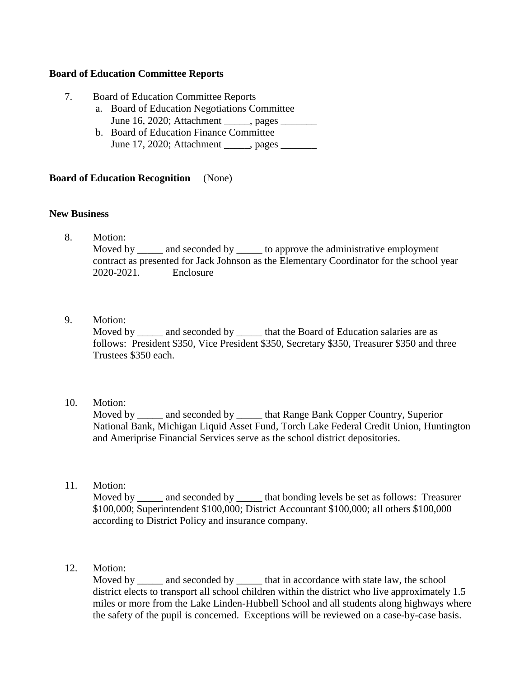## **Board of Education Committee Reports**

- 7. Board of Education Committee Reports
	- a. Board of Education Negotiations Committee June 16, 2020; Attachment \_\_\_\_\_, pages \_\_\_\_\_\_\_
	- b. Board of Education Finance Committee June 17, 2020; Attachment \_\_\_\_\_, pages \_\_\_\_\_\_\_

# **Board of Education Recognition** (None)

## **New Business**

8. Motion:

Moved by \_\_\_\_\_\_ and seconded by \_\_\_\_\_\_ to approve the administrative employment contract as presented for Jack Johnson as the Elementary Coordinator for the school year 2020-2021. Enclosure

9. Motion:

Moved by and seconded by that the Board of Education salaries are as follows: President \$350, Vice President \$350, Secretary \$350, Treasurer \$350 and three Trustees \$350 each.

10. Motion:

 Moved by \_\_\_\_\_ and seconded by \_\_\_\_\_ that Range Bank Copper Country, Superior National Bank, Michigan Liquid Asset Fund, Torch Lake Federal Credit Union, Huntington and Ameriprise Financial Services serve as the school district depositories.

11. Motion:

Moved by \_\_\_\_\_ and seconded by \_\_\_\_\_\_ that bonding levels be set as follows: Treasurer \$100,000; Superintendent \$100,000; District Accountant \$100,000; all others \$100,000 according to District Policy and insurance company.

12. Motion:

Moved by and seconded by that in accordance with state law, the school district elects to transport all school children within the district who live approximately 1.5 miles or more from the Lake Linden-Hubbell School and all students along highways where the safety of the pupil is concerned. Exceptions will be reviewed on a case-by-case basis.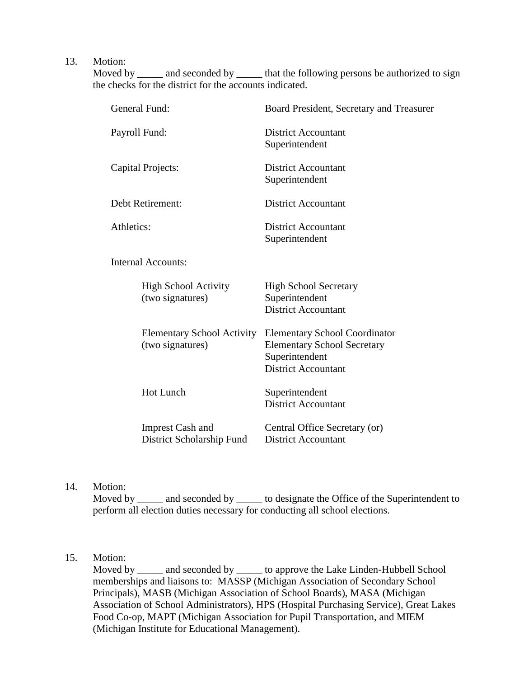13. Motion:

Moved by \_\_\_\_\_ and seconded by \_\_\_\_\_\_ that the following persons be authorized to sign the checks for the district for the accounts indicated.

| General Fund:                                         | Board President, Secretary and Treasurer                                                                                   |
|-------------------------------------------------------|----------------------------------------------------------------------------------------------------------------------------|
| Payroll Fund:                                         | <b>District Accountant</b><br>Superintendent                                                                               |
| Capital Projects:                                     | <b>District Accountant</b><br>Superintendent                                                                               |
| Debt Retirement:                                      | <b>District Accountant</b>                                                                                                 |
| Athletics:                                            | <b>District Accountant</b><br>Superintendent                                                                               |
| <b>Internal Accounts:</b>                             |                                                                                                                            |
| <b>High School Activity</b><br>(two signatures)       | <b>High School Secretary</b><br>Superintendent<br><b>District Accountant</b>                                               |
| <b>Elementary School Activity</b><br>(two signatures) | <b>Elementary School Coordinator</b><br><b>Elementary School Secretary</b><br>Superintendent<br><b>District Accountant</b> |
| <b>Hot Lunch</b>                                      | Superintendent<br><b>District Accountant</b>                                                                               |
| <b>Imprest Cash and</b><br>District Scholarship Fund  | Central Office Secretary (or)<br><b>District Accountant</b>                                                                |

14. Motion:

Moved by \_\_\_\_\_ and seconded by \_\_\_\_\_\_ to designate the Office of the Superintendent to perform all election duties necessary for conducting all school elections.

# 15. Motion:

Moved by \_\_\_\_\_ and seconded by \_\_\_\_\_ to approve the Lake Linden-Hubbell School memberships and liaisons to: MASSP (Michigan Association of Secondary School Principals), MASB (Michigan Association of School Boards), MASA (Michigan Association of School Administrators), HPS (Hospital Purchasing Service), Great Lakes Food Co-op, MAPT (Michigan Association for Pupil Transportation, and MIEM (Michigan Institute for Educational Management).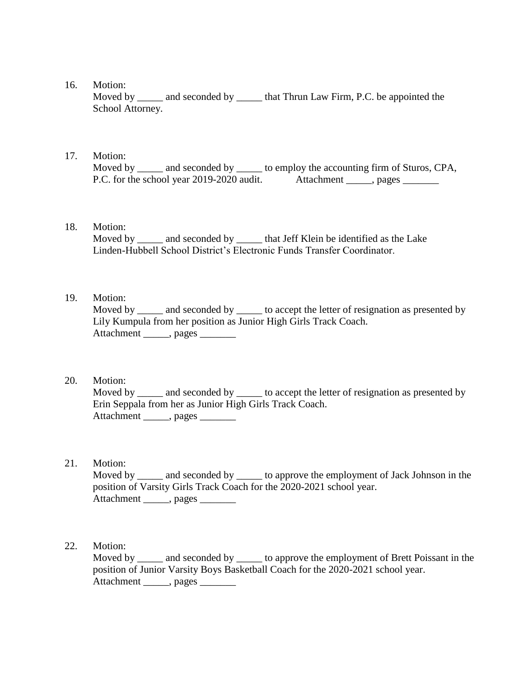16. Motion:

Moved by \_\_\_\_\_\_ and seconded by \_\_\_\_\_\_ that Thrun Law Firm, P.C. be appointed the School Attorney.

### 17. Motion:

Moved by \_\_\_\_\_ and seconded by \_\_\_\_\_ to employ the accounting firm of Sturos, CPA, P.C. for the school year 2019-2020 audit. Attachment , pages

#### 18. Motion:

Moved by \_\_\_\_\_ and seconded by \_\_\_\_\_\_ that Jeff Klein be identified as the Lake Linden-Hubbell School District's Electronic Funds Transfer Coordinator.

# 19. Motion:

Moved by \_\_\_\_\_\_ and seconded by \_\_\_\_\_\_ to accept the letter of resignation as presented by Lily Kumpula from her position as Junior High Girls Track Coach. Attachment \_\_\_\_\_, pages \_\_\_\_\_\_\_

## 20. Motion:

Moved by \_\_\_\_\_\_ and seconded by \_\_\_\_\_\_ to accept the letter of resignation as presented by Erin Seppala from her as Junior High Girls Track Coach. Attachment \_\_\_\_\_, pages \_\_\_\_\_\_\_

### 21. Motion:

Moved by \_\_\_\_\_ and seconded by \_\_\_\_\_\_ to approve the employment of Jack Johnson in the position of Varsity Girls Track Coach for the 2020-2021 school year. Attachment \_\_\_\_\_, pages \_\_\_\_\_\_\_

## 22. Motion:

Moved by and seconded by to approve the employment of Brett Poissant in the position of Junior Varsity Boys Basketball Coach for the 2020-2021 school year. Attachment \_\_\_\_\_\_, pages \_\_\_\_\_\_\_